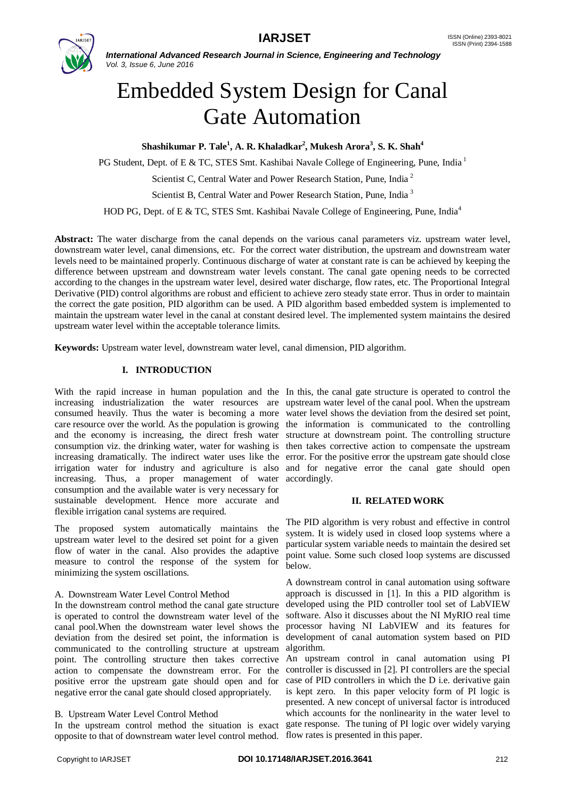

*International Advanced Research Journal in Science, Engineering and Technology Vol. 3, Issue 6, June 2016*

# Embedded System Design for Canal Gate Automation

**Shashikumar P. Tale<sup>1</sup> , A. R. Khaladkar<sup>2</sup> , Mukesh Arora<sup>3</sup> , S. K. Shah<sup>4</sup>**

PG Student, Dept. of E & TC, STES Smt. Kashibai Navale College of Engineering, Pune, India<sup>1</sup>

Scientist C, Central Water and Power Research Station, Pune, India<sup>2</sup>

Scientist B, Central Water and Power Research Station, Pune, India<sup>3</sup>

HOD PG, Dept. of E & TC, STES Smt. Kashibai Navale College of Engineering, Pune, India<sup>4</sup>

**Abstract:** The water discharge from the canal depends on the various canal parameters viz. upstream water level, downstream water level, canal dimensions, etc. For the correct water distribution, the upstream and downstream water levels need to be maintained properly. Continuous discharge of water at constant rate is can be achieved by keeping the difference between upstream and downstream water levels constant. The canal gate opening needs to be corrected according to the changes in the upstream water level, desired water discharge, flow rates, etc. The Proportional Integral Derivative (PID) control algorithms are robust and efficient to achieve zero steady state error. Thus in order to maintain the correct the gate position, PID algorithm can be used. A PID algorithm based embedded system is implemented to maintain the upstream water level in the canal at constant desired level. The implemented system maintains the desired upstream water level within the acceptable tolerance limits.

**Keywords:** Upstream water level, downstream water level, canal dimension, PID algorithm.

# **I. INTRODUCTION**

With the rapid increase in human population and the In this, the canal gate structure is operated to control the increasing industrialization the water resources are upstream water level of the canal pool. When the upstream consumed heavily. Thus the water is becoming a more water level shows the deviation from the desired set point, care resource over the world. As the population is growing the information is communicated to the controlling and the economy is increasing, the direct fresh water structure at downstream point. The controlling structure consumption viz. the drinking water, water for washing is then takes corrective action to compensate the upstream increasing dramatically. The indirect water uses like the error. For the positive error the upstream gate should close irrigation water for industry and agriculture is also and for negative error the canal gate should open increasing. Thus, a proper management of water accordingly. consumption and the available water is very necessary for sustainable development. Hence more accurate and flexible irrigation canal systems are required.

The proposed system automatically maintains the upstream water level to the desired set point for a given flow of water in the canal. Also provides the adaptive measure to control the response of the system for minimizing the system oscillations.

## A. Downstream Water Level Control Method

In the downstream control method the canal gate structure is operated to control the downstream water level of the canal pool.When the downstream water level shows the deviation from the desired set point, the information is communicated to the controlling structure at upstream algorithm. point. The controlling structure then takes corrective An upstream control in canal automation using PI action to compensate the downstream error. For the controller is discussed in [2]. PI controllers are the special positive error the upstream gate should open and for negative error the canal gate should closed appropriately.

## B. Upstream Water Level Control Method

opposite to that of downstream water level control method. flow rates is presented in this paper.

#### **II. RELATED WORK**

The PID algorithm is very robust and effective in control system. It is widely used in closed loop systems where a particular system variable needs to maintain the desired set point value. Some such closed loop systems are discussed below.

A downstream control in canal automation using software approach is discussed in [1]. In this a PID algorithm is developed using the PID controller tool set of LabVIEW software. Also it discusses about the NI MyRIO real time processor having NI LabVIEW and its features for development of canal automation system based on PID

In the upstream control method the situation is exact gate response. The tuning of PI logic over widely varying case of PID controllers in which the D i.e. derivative gain is kept zero. In this paper velocity form of PI logic is presented. A new concept of universal factor is introduced which accounts for the nonlinearity in the water level to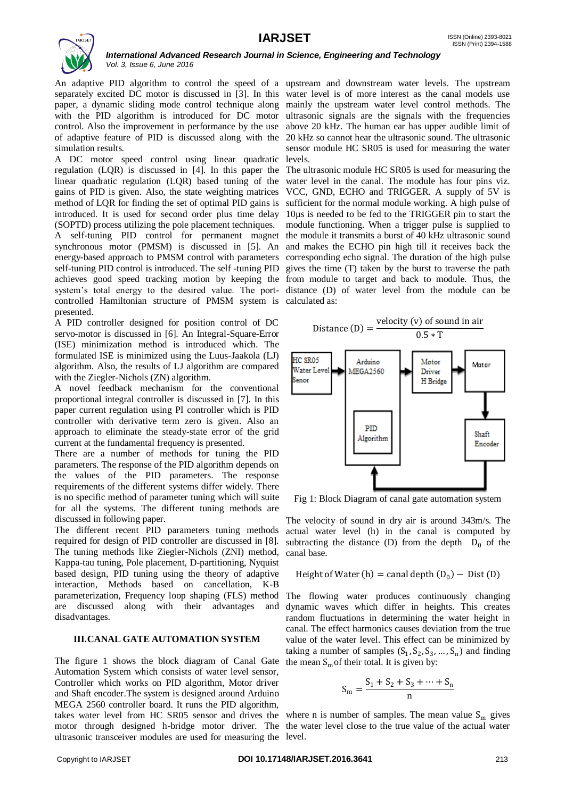

*International Advanced Research Journal in Science, Engineering and Technology Vol. 3, Issue 6, June 2016*

An adaptive PID algorithm to control the speed of a upstream and downstream water levels. The upstream separately excited DC motor is discussed in [3]. In this water level is of more interest as the canal models use paper, a dynamic sliding mode control technique along mainly the upstream water level control methods. The with the PID algorithm is introduced for DC motor ultrasonic signals are the signals with the frequencies control. Also the improvement in performance by the use above 20 kHz. The human ear has upper audible limit of of adaptive feature of PID is discussed along with the 20 kHz so cannot hear the ultrasonic sound. The ultrasonic simulation results.

A DC motor speed control using linear quadratic regulation (LQR) is discussed in [4]. In this paper the linear quadratic regulation (LQR) based tuning of the water level in the canal. The module has four pins viz. gains of PID is given. Also, the state weighting matrices VCC, GND, ECHO and TRIGGER. A supply of 5V is method of LQR for finding the set of optimal PID gains is sufficient for the normal module working. A high pulse of introduced. It is used for second order plus time delay 10µs is needed to be fed to the TRIGGER pin to start the (SOPTD) process utilizing the pole placement techniques.

A self-tuning PID control for permanent magnet the module it transmits a burst of 40 kHz ultrasonic sound synchronous motor (PMSM) is discussed in [5]. An and makes the ECHO pin high till it receives back the energy-based approach to PMSM control with parameters corresponding echo signal. The duration of the high pulse self-tuning PID control is introduced. The self-tuning PID gives the time (T) taken by the burst to traverse the path achieves good speed tracking motion by keeping the from module to target and back to module. Thus, the system's total energy to the desired value. The port-distance (D) of water level from the module can be controlled Hamiltonian structure of PMSM system is calculated as: presented.

A PID controller designed for position control of DC servo-motor is discussed in [6]. An Integral-Square-Error (ISE) minimization method is introduced which. The formulated ISE is minimized using the Luus-Jaakola (LJ) algorithm. Also, the results of LJ algorithm are compared with the Ziegler-Nichols (ZN) algorithm.

A novel feedback mechanism for the conventional proportional integral controller is discussed in [7]. In this paper current regulation using PI controller which is PID controller with derivative term zero is given. Also an approach to eliminate the steady-state error of the grid current at the fundamental frequency is presented.

There are a number of methods for tuning the PID parameters. The response of the PID algorithm depends on the values of the PID parameters. The response requirements of the different systems differ widely. There is no specific method of parameter tuning which will suite for all the systems. The different tuning methods are discussed in following paper.

The different recent PID parameters tuning methods required for design of PID controller are discussed in [8]. The tuning methods like Ziegler-Nichols (ZNI) method, Kappa-tau tuning, Pole placement, D-partitioning, Nyquist based design, PID tuning using the theory of adaptive interaction, Methods based on cancellation, K-B parameterization, Frequency loop shaping (FLS) method are discussed along with their advantages and disadvantages.

## **III.CANAL GATE AUTOMATION SYSTEM**

The figure 1 shows the block diagram of Canal Gate Automation System which consists of water level sensor, Controller which works on PID algorithm, Motor driver and Shaft encoder.The system is designed around Arduino MEGA 2560 controller board. It runs the PID algorithm, motor through designed h-bridge motor driver. The the water level close to the true value of the actual water ultrasonic transceiver modules are used for measuring the level.

sensor module HC SR05 is used for measuring the water levels.

The ultrasonic module HC SR05 is used for measuring the module functioning. When a trigger pulse is supplied to



Fig 1: Block Diagram of canal gate automation system

The velocity of sound in dry air is around 343m/s. The actual water level (h) in the canal is computed by subtracting the distance (D) from the depth  $D_0$  of the canal base.

Height of Water (h) = canal depth 
$$
(D_0)
$$
 – Dist (D)

The flowing water produces continuously changing dynamic waves which differ in heights. This creates random fluctuations in determining the water height in canal. The effect harmonics causes deviation from the true value of the water level. This effect can be minimized by taking a number of samples  $(S_1, S_2, S_3, ..., S_n)$  and finding the mean  $S<sub>m</sub>$  of their total. It is given by:

$$
S_m = \frac{S_1 + S_2 + S_3 + \dots + S_n}{n}
$$

takes water level from HC SR05 sensor and drives the where n is number of samples. The mean value  $S_m$  gives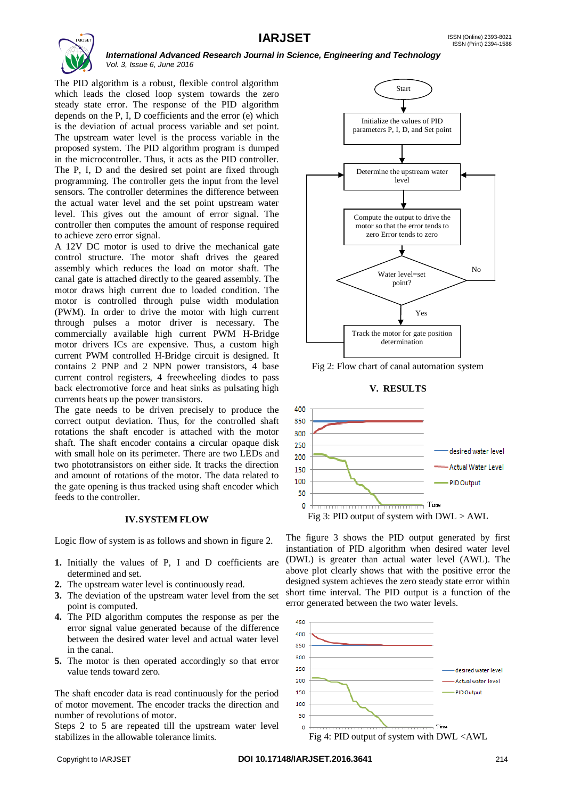

*International Advanced Research Journal in Science, Engineering and Technology Vol. 3, Issue 6, June 2016*

The PID algorithm is a robust, flexible control algorithm which leads the closed loop system towards the zero steady state error. The response of the PID algorithm depends on the P, I, D coefficients and the error (e) which is the deviation of actual process variable and set point. The upstream water level is the process variable in the proposed system. The PID algorithm program is dumped in the microcontroller. Thus, it acts as the PID controller. The P, I, D and the desired set point are fixed through programming. The controller gets the input from the level sensors. The controller determines the difference between the actual water level and the set point upstream water level. This gives out the amount of error signal. The controller then computes the amount of response required to achieve zero error signal.

A 12V DC motor is used to drive the mechanical gate control structure. The motor shaft drives the geared assembly which reduces the load on motor shaft. The canal gate is attached directly to the geared assembly. The motor draws high current due to loaded condition. The motor is controlled through pulse width modulation (PWM). In order to drive the motor with high current through pulses a motor driver is necessary. The commercially available high current PWM H-Bridge motor drivers ICs are expensive. Thus, a custom high current PWM controlled H-Bridge circuit is designed. It contains 2 PNP and 2 NPN power transistors, 4 base current control registers, 4 freewheeling diodes to pass back electromotive force and heat sinks as pulsating high currents heats up the power transistors.

The gate needs to be driven precisely to produce the correct output deviation. Thus, for the controlled shaft rotations the shaft encoder is attached with the motor shaft. The shaft encoder contains a circular opaque disk with small hole on its perimeter. There are two LEDs and two phototransistors on either side. It tracks the direction and amount of rotations of the motor. The data related to the gate opening is thus tracked using shaft encoder which feeds to the controller.

#### **IV.SYSTEM FLOW**

Logic flow of system is as follows and shown in figure 2.

- **1.** Initially the values of P, I and D coefficients are determined and set.
- **2.** The upstream water level is continuously read.
- **3.** The deviation of the upstream water level from the set point is computed.
- **4.** The PID algorithm computes the response as per the error signal value generated because of the difference between the desired water level and actual water level in the canal.
- **5.** The motor is then operated accordingly so that error value tends toward zero.

The shaft encoder data is read continuously for the period of motor movement. The encoder tracks the direction and number of revolutions of motor.

Steps 2 to 5 are repeated till the upstream water level stabilizes in the allowable tolerance limits.



Fig 2: Flow chart of canal automation system

## **V. RESULTS**



The figure 3 shows the PID output generated by first instantiation of PID algorithm when desired water level (DWL) is greater than actual water level (AWL). The above plot clearly shows that with the positive error the designed system achieves the zero steady state error within short time interval. The PID output is a function of the error generated between the two water levels.